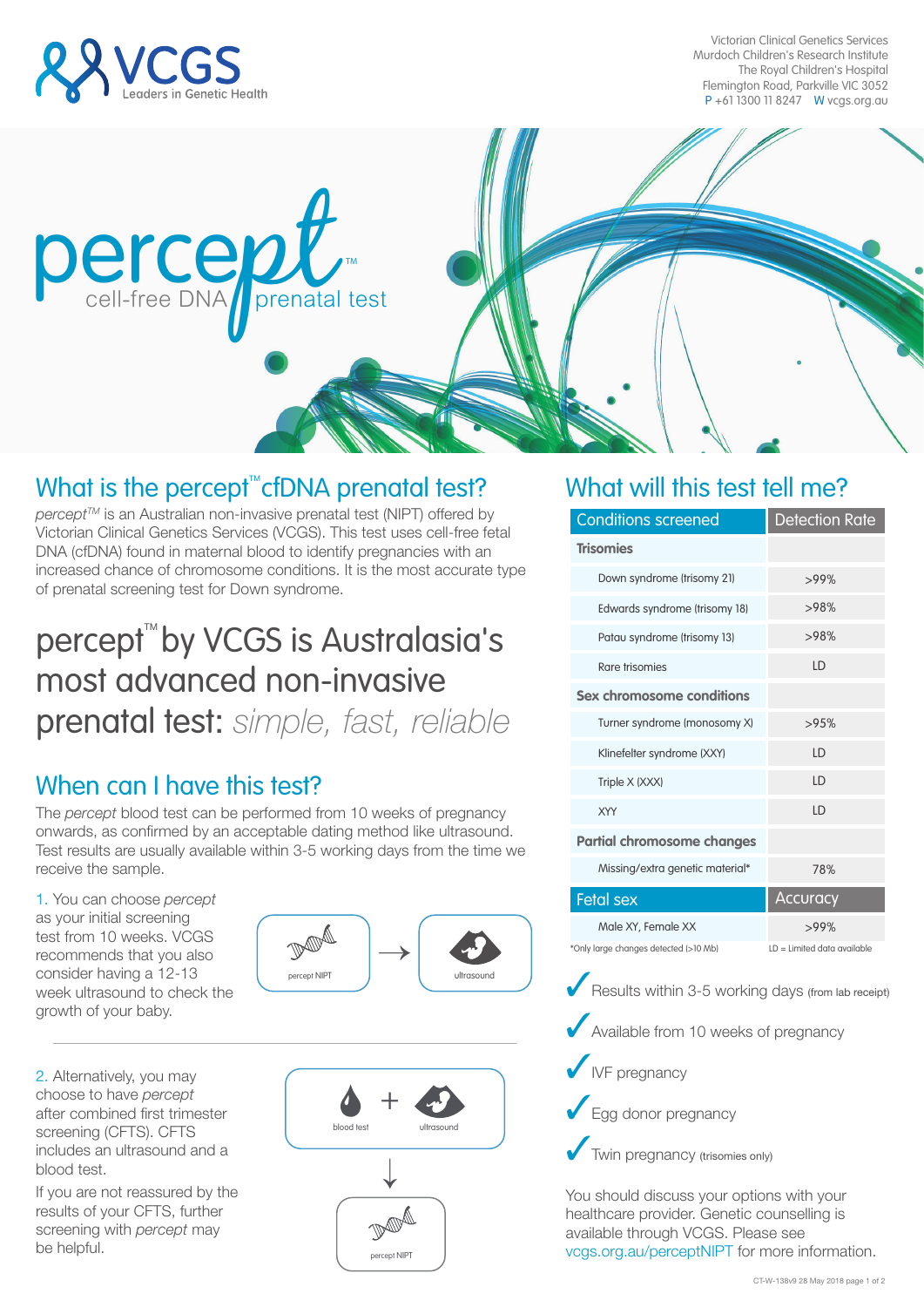

Victorian Clinical Genetics Services Murdoch Children's Research Institute The Royal Children's Hospital Flemington Road, Parkville VIC 3052 P +61 1300 11 8247 W vcgs.org.au



## What is the percept<sup>te</sup> cfDNA prenatal test?

*percept<sup>™</sup>* is an Australian non-invasive prenatal test (NIPT) offered by Victorian Clinical Genetics Services (VCGS). This test uses cell-free fetal DNA (cfDNA) found in maternal blood to identify pregnancies with an increased chance of chromosome conditions. It is the most accurate type of prenatal screening test for Down syndrome.

# percept<sup>™</sup>by VCGS is Australasia's most advanced non-invasive prenatal test: *simple, fast, reliable*

## When can I have this test?

The *percept* blood test can be performed from 10 weeks of pregnancy onwards, as confirmed by an acceptable dating method like ultrasound. Test results are usually available within 3-5 working days from the time we receive the sample.

1. You can choose *percept* as your initial screening test from 10 weeks. VCGS recommends that you also consider having a 12-13 week ultrasound to check the growth of your baby.

percept NIPT  $\rightarrow$ ultrasound

2. Alternatively, you may choose to have *percept* after combined first trimester screening (CFTS). CFTS includes an ultrasound and a blood test.

If you are not reassured by the results of your CFTS, further screening with *percept* may be helpful.



### What will this test tell me?

| <b>Conditions screened</b>                         | <b>Detection Rate</b>         |
|----------------------------------------------------|-------------------------------|
| <b>Trisomies</b>                                   |                               |
| Down syndrome (trisomy 21)                         | $>99\%$                       |
| Edwards syndrome (trisomy 18)                      | >98%                          |
| Patau syndrome (trisomy 13)                        | >98%                          |
| Rare trisomies                                     | LD                            |
| Sex chromosome conditions                          |                               |
| Turner syndrome (monosomy X)                       | >95%                          |
| Klinefelter syndrome (XXY)                         | LD                            |
| Triple X (XXX)                                     | LD                            |
| XYY                                                | LD                            |
| <b>Partial chromosome changes</b>                  |                               |
| Missing/extra genetic material*                    | 78%                           |
| <b>Fetal sex</b>                                   | Accuracy                      |
| Male XY, Female XX                                 | >99%                          |
| *Only large changes detected (>10 Mb)              | $LD = Limited data available$ |
| Results within 3-5 working days (from lab receipt) |                               |
| Available from 10 weeks of pregnancy               |                               |
| <b>V</b> IVF pregnancy                             |                               |

◆ Egg donor pregnancy

Twin pregnancy (trisomies only)

You should discuss your options with your healthcare provider. Genetic counselling is available through VCGS. Please see vcgs.org.au/perceptNIPT for more information.